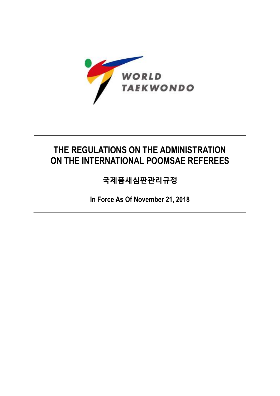

# **THE REGULATIONS ON THE ADMINISTRATION ON THE INTERNATIONAL POOMSAE REFEREES**

**국제품새심판관리규정**

**In Force As Of November 21, 2018**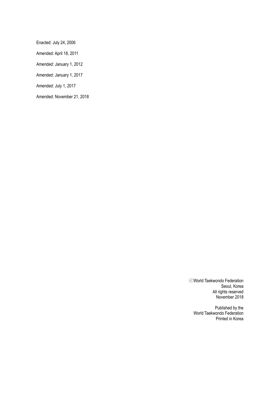Enacted: July 24, 2006

Amended: April 18, 2011

Amended: January 1, 2012

Amended: January 1, 2017

Amended: July 1, 2017

Amended: November 21, 2018

ⓒWorld Taekwondo Federation Seoul, Korea All rights reserved November 2018

Published by the World Taekwondo Federation Printed in Korea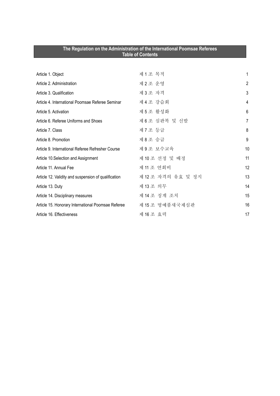| The Regulation on the Administration of the International Poomsae Referees<br><b>Table of Contents</b> |                    |                |
|--------------------------------------------------------------------------------------------------------|--------------------|----------------|
|                                                                                                        |                    |                |
| Article 1. Object                                                                                      | 제1조 목적             | 1              |
| Article 2. Administration                                                                              | 제2조 운영             | $\overline{2}$ |
| Article 3. Qualification                                                                               | 제3조 자격             | 3              |
| Article 4. International Poomsae Referee Seminar                                                       | 제 4 조 강습회          | 4              |
| Article 5. Activation                                                                                  | 제5조 활성화            | 6              |
| Article 6. Referee Uniforms and Shoes                                                                  | 제 6 조심판복 및 신발      | $\overline{7}$ |
| Article 7. Class                                                                                       | 제 7 조 등급           | 8              |
| Article 8. Promotion                                                                                   | 제8조 승급             | 9              |
| Article 9. International Referee Refresher Course                                                      | 제9조 보수교육           | 10             |
| Article 10.Selection and Assignment                                                                    | 제 10 조 선정 및 배정     | 11             |
| Article 11, Annual Fee                                                                                 | 제 11 조 연회비         | 12             |
| Article 12. Validity and suspension of qualification                                                   | 제 12 조 자격의 유효 및 정지 | 13             |
| Article 13. Duty                                                                                       | 제 13 조 의무          | 14             |
| Article 14. Disciplinary measures                                                                      | 제 14 조 징계 조치       | 15             |
| Article 15. Honorary International Poomsae Referee                                                     | 제 15 조 명예품새국제심판    | 16             |
| Article 16. Effectiveness                                                                              | 제 16 조 효력          | 17             |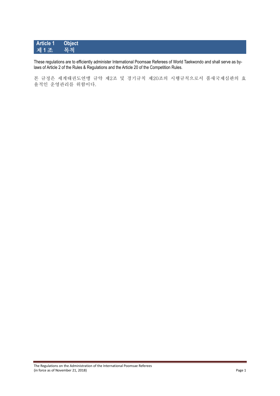### **Article 1 Object** 제1조

These regulations are to efficiently administer International Poomsae Referees of World Taekwondo and shall serve as bylaws of Article 2 of the Rules & Regulations and the Article 20 of the Competition Rules.

본 규정은 세계태권도연맹 규약 제2조 및 경기규칙 제20조의 시행규칙으로서 품새국제심판의 효 율적인 운영관리를 위함이다.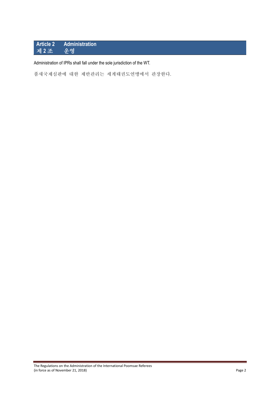# **Article 2 Administration** 제 **2** 조 운영

Administration of IPRs shall fall under the sole jurisdiction of the WT.

품새국제심판에 대한 제반관리는 세계태권도연맹에서 관장한다.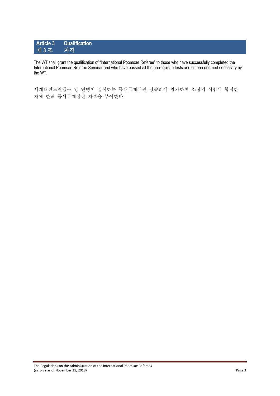#### **Article 3 Qualification** 제 **3** 조 자격

The WT shall grant the qualification of "International Poomsae Referee" to those who have successfully completed the International Poomsae Referee Seminar and who have passed all the prerequisite tests and criteria deemed necessary by the WT.

세계태권도연맹은 당 연맹이 실시하는 품새국제심판 강습회에 참가하여 소정의 시험에 합격한 자에 한해 품새국제심판 자격을 부여한다.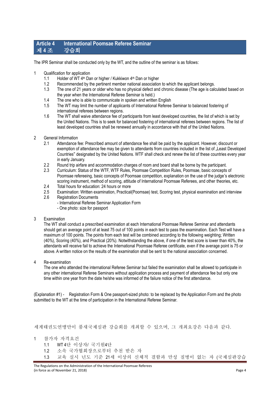#### **Article 4 International Poomsae Referee Seminar** 제 **4** 조 강습회

The IPR Seminar shall be conducted only by the WT, and the outline of the seminar is as follows:

- 1 Qualification for application
	- 1.1 Holder of WT 4<sup>th</sup> Dan or higher / Kukkiwon 4<sup>th</sup> Dan or higher
	- 1.2 Recommended by the pertinent member national association to which the applicant belongs.
	- 1.3 The one of 21 years or older who has no physical defect and chronic disease (The age is calculated based on the year when the International Referee Seminar is held.)
	- 1.4 The one who is able to communicate in spoken and written English
	- 1.5 The WT may limit the number of applicants of International Referee Seminar to balanced fostering of international referees between regions.
	- 1.6 The WT shall waive attendance fee of participants from least developed countries, the list of which is set by the United Nations. This is to seek for balanced fostering of international referees between regions. The list of least developed countries shall be renewed annually in accordance with that of the United Nations.
- 2 General Information
	- 2.1 Attendance fee: Prescribed amount of attendance fee shall be paid by the applicant. However, discount or exemption of attendance fee may be given to attendants from countries included in the list of "Least Developed Countries" designated by the United Nations. WTF shall check and renew the list of these countries every year in early January.
	- 2.2 Round trip airfare and accommodation charges of room and board shall be borne by the participant.
	- 2.3 Curriculum: Status of the WTF, WTF Rules, Poomsae Competition Rules, Poomsae, basic concepts of Poomsae refereeing, basic concepts of Poomsae competition, explanation on the use of the judge's electronic scoring instrument, method of scoring, attitude of International Poomsae Referees, and other theories, etc.
	- 2.4 Total hours for education: 24 hours or more
	- 2.5 Examination: Written examination, Practical(Poomsae) test, Scoring test, physical examination and interview
	- 2.6 Registration Documents
		- International Referee Seminar Application Form
		- One photo: size for passport

#### 3 Examination

The WT shall conduct a prescribed examination at each International Poomsae Referee Seminar and attendants should get an average point of at least 75 out of 100 points in each test to pass the examination. Each Test will have a maximum of 100 points. The points from each test will be combined according to the following weighting; Written (40%), Scoring (40%), and Practical (20%). Notwithstanding the above, if one of the test score is lower than 40%, the attendants will receive fail to achieve the International Poomsae Referee certificate, even if the average point is 75 or above. A written notice on the results of the examination shall be sent to the national association concerned.

4 Re-examination

The one who attended the international Referee Seminar but failed the examination shall be allowed to participate in any other international Referee Seminars without application process and payment of attendance fee but only one time within one year from the date he/she was informed of the failure notice of the first attendance.

(Explanation #1) - Registration Form & One passport-sized photo: to be replaced by the Application Form and the photo submitted to the WT at the time of participation in the International Referee Seminar.

세계태권도연맹만이 품새국제심판 강습회를 개최할 수 있으며, 그 개최요강은 다음과 같다.

1 참가자 자격요건

- 1.1 WT 4단 이상자/ 국기원4단
- 1.2 소속 국가협회장으로부터 추천 받은 자
- 1.3 교육 실시 년도 기준 21세 이상의 신체적 결함과 만성 질병이 없는 자 (국제심판강습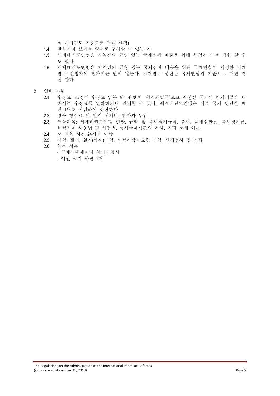회 개최연도 기준으로 연령 산정)

- 1.4 말하기와 쓰기를 영어로 구사할 수 있는 자
- 1.5 세계태권도연맹은 지역간의 균형 있는 국제심판 배출을 위해 신청자 수를 제한 할 수 도 있다.
- 1.6 세계태권도연맹은 지역간의 균형 있는 국제심판 배출을 위해 국제연합이 지정한 저개 발국 신청자의 참가비는 받지 않는다. 저개발국 명단은 국제연합의 기준으로 매년 갱 신 한다.
- 2 일반 사항
	- 2.1 수강료: 소정의 수강료 납부 단, 유엔이 '최저개발국'으로 지정한 국가의 참가자들에 대 해서는 수강료를 인하하거나 면제할 수 있다. 세계태권도연맹은 이들 국가 명단을 매 년 1월초 점검하여 갱신한다.
	- 2.2 왕복 항공료 및 현지 체재비: 참가자 부담
	- 2.3 교육과목: 세계태권도연맹 현황, 규약 및 품새경기규칙, 품새, 품새심판론, 품새경기론, 채점기계 사용법 및 채점법, 품새국제심판의 자세, 기타 품새 이론.
	- 2.4 총 교육 시간: 24시간 이상
	- 2.5 시험: 필기, 실기(품새)시험, 채점기작동요령 시험, 신체검사 및 면접
	- 2.6 등록 서류
		- 국제심판세미나 참가신청서
		- 여권 크기 사진 1매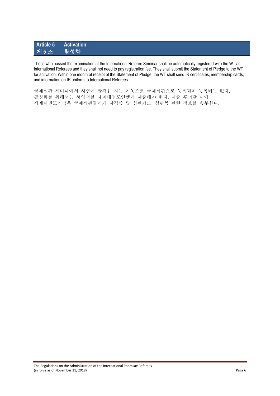#### **Article 5 Activation** 제 5 조

Those who passed the examination at the International Referee Seminar shall be automatically registered with the WT as International Referees and they shall not need to pay registration fee. They shall submit the Statement of Pledge to the WT for activation. Within one month of receipt of the Statement of Pledge, the WT shall send IR certificates, membership cards, and information on IR uniform to International Referees.

국제심판 세미나에서 시험에 합격한 자는 자동으로 국제심판으로 등록되며 등록비는 없다. 활성화를 위해서는 서약서를 세계태권도연맹에 제출해야 한다. 제출 후 1달 내에 세계태권도연맹은 국제심판들에게 자격증 및 심판카드, 심판복 관련 정보를 송부한다.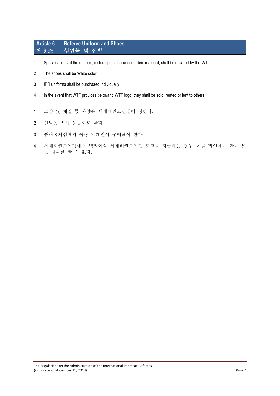#### **Article 6 Referee Uniform and Shoes** 제 **6** 조 심판복 및 신발

- Specifications of the uniform, including its shape and fabric material, shall be decided by the WT.
- The shoes shall be White color.
- IPR uniforms shall be purchased individually
- In the event that WTF provides tie or/and WTF logo, they shall be sold, rented or lent to others.
- 모양 및 재질 등 사양은 세계태권도연맹이 정한다.
- 신발은 백색 운동화로 한다.
- 품새국제심판의 복장은 개인이 구매해야 한다.
- 세계태권도연맹에서 넥타이와 세계태권도연맹 로고를 지급하는 경우, 이를 타인에게 판매 또 는 대여를 할 수 없다.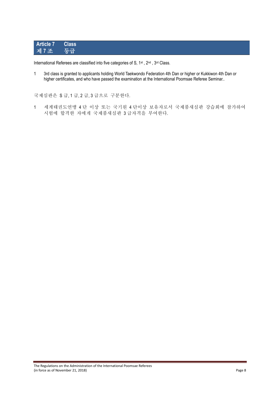# **Article 7 Class** 제 7조 등급

International Referees are classified into five categories of S, 1<sup>st</sup>, 2<sup>nd</sup>, 3<sup>rd</sup> Class.

1 3rd class is granted to applicants holding World Taekwondo Federation 4th Dan or higher or Kukkiwon 4th Dan or higher certificates, and who have passed the examination at the International Poomsae Referee Seminar..

국제심판은 S 급, 1 급, 2 급, 3 급으로 구분한다.

1 세계태권도연맹 4 단 이상 또는 국기원 4 단이상 보유자로서 국제품새심판 강습회에 참가하여 시험에 합격한 자에게 국제품새심판 3 급자격을 부여한다.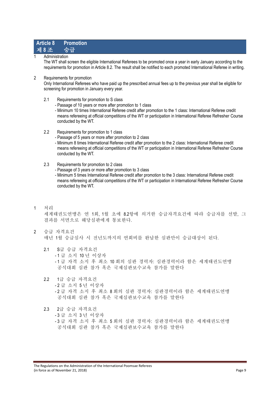#### **Article 8 Promotion**

**Administration** 제 **8** 조 승급

The WT shall screen the eligible International Referees to be promoted once a year in early January according to the requirements for promotion in Article 8.2. The result shall be notified to each promoted International Referee in writing.

2 Requirements for promotion

Only International Referees who have paid up the prescribed annual fees up to the previous year shall be eligible for screening for promotion in January every year.

- 2.1 Requirements for promotion to S class
	- Passage of 10 years or more after promotion to 1 class
	- Minimum 10 times International Referee credit after promotion to the 1 class: International Referee credit means refereeing at official competitions of the WT or participation in International Referee Refresher Course conducted by the WT.
- 2.2 Requirements for promotion to 1 class
	- Passage of 5 years or more after promotion to 2 class
	- Minimum 8 times International Referee credit after promotion to the 2 class: International Referee credit means refereeing at official competitions of the WT or participation in International Referee Refresher Course conducted by the WT.
- 2.3 Requirements for promotion to 2 class
	- Passage of 3 years or more after promotion to 3 class
	- Minimum 5 times International Referee credit after promotion to the 3 class: International Referee credit means refereeing at official competitions of the WT or participation in International Referee Refresher Course conducted by the WT.
- 1 처리 세계태권도연맹은 연 1회, 1월 초에 8.2항에 의거한 승급자격요건에 따라 승급자를 선발, 그 결과를 서면으로 해당심판에게 통보한다.
- 2 승급 자격요건 매년 1월 승급심사 시 전년도까지의 연회비를 완납한 심판만이 승급대상이 된다.
	- 2.1 S급 승급 자격요건 - 1 급 소지 10 년 이상자 - 1 급 자격 소지 후 최소 10 회의 심판 경력자: 심판경력이라 함은 세계태권도연맹 공식대회 심판 참가 혹은 국제심판보수교육 참가를 말한다
	- 2.2 1급 승급 자격요건 - 2 급 소지 5 년 이상자 - 2 급 자격 소지 후 최소 8 회의 심판 경력자: 심판경력이라 함은 세계태권도연맹 공식대회 심판 참가 혹은 국제심판보수교육 참가를 말한다
	- 2.3 2급 승급 자격요건 - 3 급 소지 3 년 이상자 - 3 급 자격 소지 후 최소 5 회의 심판 경력자: 심판경력이라 함은 세계태권도연맹 공식대회 심판 참가 혹은 국제심판보수교육 참가를 말한다

The Regulations on the Administration of the International Poomsae Referees (in force as of November 21, 2018) Page 9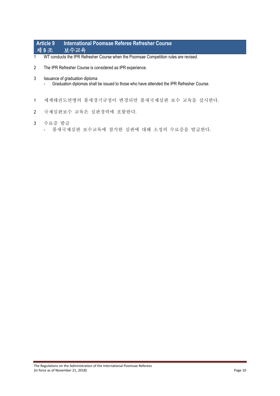#### **Article 9 International Poomsae Referee Refresher Course** 제 **9** 조 보수교육

- 1 WT conducts the IPR Refresher Course when the Poomsae Competition rules are revised.
- 2 The IPR Refresher Course is considered as IPR experience.
- 3 Issuance of graduation diploma
	- Graduation diplomas shall be issued to those who have attended the IPR Refresher Course.
- 1 세계태권도연맹의 품새경기규정이 변경되면 품새국제심판 보수 교육을 실시한다.
- 2 국제심판보수 교육은 심판경력에 포함한다.
- 3 수료증 발급
	- 품새국제심판 보수교육에 참가한 심판에 대해 소정의 수료증을 발급한다.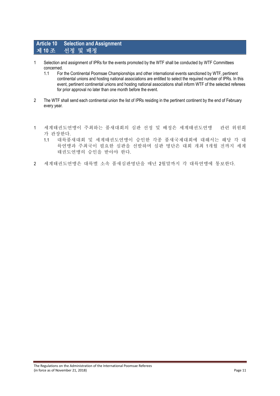#### **Article 10 Selection and Assignment** 제 **10** 조 선정 및 배정

- 1 Selection and assignment of IPRs for the events promoted by the WTF shall be conducted by WTF Committees concerned.
	- 1.1 For the Continental Poomsae Championships and other international events sanctioned by WTF, pertinent continental unions and hosting national associations are entitled to select the required number of IPRs. In this event, pertinent continental unions and hosting national associations shall inform WTF of the selected referees for prior approval no later than one month before the event.
- 2 The WTF shall send each continental union the list of IPRs residing in the pertinent continent by the end of February every year.
- 1 세계태권도연맹이 주최하는 품새대회의 심판 선정 및 배정은 세계태권도연맹 관련 위원회 가 관장한다.
	- 1.1 대륙품새대회 및 세계태권도연맹이 승인한 각종 품새국제대회에 대해서는 해당 각 대 륙연맹과 주최국이 필요한 심판을 선발하며 심판 명단은 대회 개최 1개월 전까지 세계 태권도연맹의 승인을 받아야 한다.
- 2 세계태권도연맹은 대륙별 소속 품새심판명단을 매년 2월말까지 각 대륙연맹에 통보한다.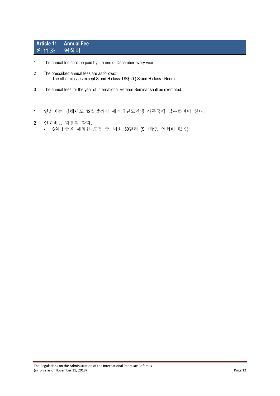# **Article 11 Annual Fee** 제 11 조

- 1 The annual fee shall be paid by the end of December every year.
- 2 The prescribed annual fees are as follows: - The other classes except S and H class: US\$50.( S and H class : None)
- 3 The annual fees for the year of International Referee Seminar shall be exempted.
- 1 연회비는 당해년도 12월말까지 세계태권도연맹 사무국에 납부하여야 한다.
- 2 연회비는 다음과 같다. - S와 H급을 제외한 모든 급: 미화 50달러 (S, H급은 연회비 없음)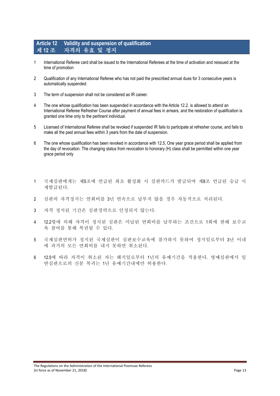#### **Article 12 Validity and suspension of qualification** 제 **12** 조 자격의 유효 및 정지

- 1 International Referee card shall be issued to the International Referees at the time of activation and reissued at the time of promotion
- 2 Qualification of any International Referee who has not paid the prescribed annual dues for 3 consecutive years is automatically suspended.
- 3 The term of suspension shall not be considered as IR career.
- 4 The one whose qualification has been suspended in accordance with the Article 12.2. is allowed to attend an International Referee Refresher Course after payment of annual fees in arrears, and the restoration of qualification is granted one time only to the pertinent individual.
- 5 Licensed of International Referee shall be revoked if suspended IR fails to participate at refresher course, and fails to make all the past annual fees within 3 years from the date of suspension.
- 6 The one whose qualification has been revoked in accordance with 12.5, One year grace period shall be applied from the day of revocation. The changing status from revocation to honorary (H) class shall be permitted within one year grace period only
- 1 국제심판에게는 제5조에 언급된 최초 활성화 시 심판카드가 발급되며 제8조 언급된 승급 시 재발급된다.
- 2 심판의 자격정지는 연회비를 3년 연속으로 납부치 않을 경우 자동적으로 처리된다.
- 3 자격 정지된 기간은 심판경력으로 인정되지 않는다.
- 4 12.2항에 의해 자격이 정지된 심판은 미납된 연회비를 납부하는 조건으로 1회에 한해 보수교 육 참여를 통해 복권될 수 있다.
- 5 국제심판면허가 정지된 국제심판이 심판보수교육에 참가하지 못하여 정지일로부터 3년 이내 에 과거의 모든 연회비를 내지 못하면 취소된다.
- 6 12.5에 따라 자격이 취소된 자는 해지일로부터 1년의 유예기간을 적용한다. 명예심판에서 일 반심판으로의 신분 복귀는 1년 유예기간내에만 허용한다.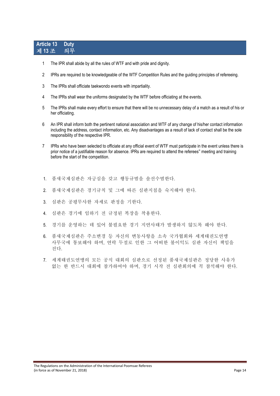#### **Article 13 Duty** 제 **13** 조 의무

- 1 The IPR shall abide by all the rules of WTF and with pride and dignity.
- 2 IPRs are required to be knowledgeable of the WTF Competition Rules and the guiding principles of refereeing.
- 3 The IPRs shall officiate taekwondo events with impartiality.
- 4 The IPRs shall wear the uniforms designated by the WTF before officiating at the events.
- 5 The IPRs shall make every effort to ensure that there will be no unnecessary delay of a match as a result of his or her officiating.
- 6 An IPR shall inform both the pertinent national association and WTF of any change of his/her contact information including the address, contact information, etc. Any disadvantages as a result of lack of contact shall be the sole responsibility of the respective IPR.
- 7 IPRs who have been selected to officiate at any official event of WTF must participate in the event unless there is prior notice of a justifiable reason for absence. IPRs are required to attend the referees" meeting and training before the start of the competition.
- 1. 품새국제심판은 자긍심을 갖고 행동규범을 솔선수범한다.
- 2. 품새국제심판은 경기규칙 및 그에 따른 심판지침을 숙지해야 한다.
- 3. 심판은 공평무사한 자세로 판정을 기한다.
- 4. 심판은 경기에 임하기 전 규정된 복장을 착용한다.
- 5. 경기를 운영하는 데 있어 불필요한 경기 지연사태가 발생하지 않도록 해야 한다.
- 6. 품새국제심판은 주소변경 등 자신의 변동사항을 소속 국가협회와 세계태권도연맹 사무국에 통보해야 하며, 연락 두절로 인한 그 어떠한 불이익도 심판 자신이 책임을 진다.
- 7. 세계태권도연맹의 모든 공식 대회의 심판으로 선정된 품새국제심판은 정당한 사유가 없는 한 반드시 대회에 참가하여야 하며, 경기 시작 전 심판회의에 꼭 참석해야 한다.

The Regulations on the Administration of the International Poomsae Referees (in force as of November 21, 2018) Page 14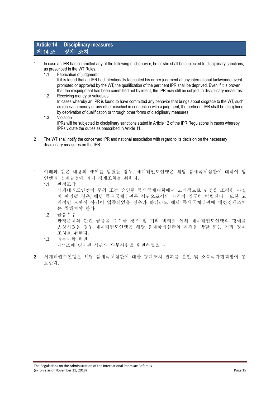#### **Article 14 Disciplinary measures** 제 **14** 조 징계 조치

- 1 In case an IPR has committed any of the following misbehavior, he or she shall be subjected to disciplinary sanctions, as prescribed in the WT Rules.
	- 1.1 Fabrication of judgment If it is found that an IPR had intentionally fabricated his or her judgment at any international taekwondo event promoted or approved by the WT, the qualification of the pertinent IPR shall be deprived. Even if it is proven that the misjudgment has been committed not by intent, the IPR may still be subject to disciplinary measures.

1.2 Receiving money or valuables In cases whereby an IPR is found to have committed any behavior that brings about disgrace to the WT, such as receiving money or any other mischief in connection with a judgment, the pertinent IPR shall be disciplined by deprivation of qualification or through other forms of disciplinary measures.

- 1.3 Violation IPRs will be subjected to disciplinary sanctions stated in Article 12 of the IPR Regulations in cases whereby IPRs violate the duties as prescribed in Article 11.
- 2 The WT shall notify the concerned IPR and national association with regard to its decision on the necessary disciplinary measures on the IPR.
- 1 아래와 같은 내용의 행위를 범했을 경우, 세계태권도연맹은 해당 품새국제심판에 대하여 당 연맹의 징계규정에 의거 징계조치를 취한다.
	- 1.1 판정조작 세계태권도연맹이 주최 또는 승인한 품새국제대회에서 고의적으로 판정을 조작한 사실 이 판명될 경우, 해당 품새국제심판은 심판으로서의 자격이 영구히 박탈된다. 또한 고 의적인 오판이 아님이 입증되었을 경우라 하더라도 해당 품새국제심판에 대한징계조치 는 취해져야 한다.
	- 1.2 금품수수 판정문제와 관련 금품을 수수한 경우 및 기타 비리로 인해 세계태권도연맹의 명예를 손상시켰을 경우 세계태권도연맹은 해당 품새국제심판의 자격을 박탈 또는 기타 징계 조치를 취한다.
	- 1.3 의무사항 위반 제11조에 명시된 심판의 의무사항을 위반하였을 시
- 2 세계태권도연맹은 해당 품새국제심판에 대한 징계조치 결과를 본인 및 소속국가협회장에 통 보한다.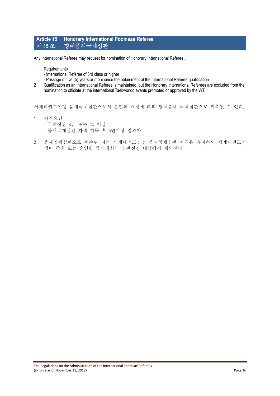#### **Article 15 Honorary International Poomsae Referee** 제 **15** 조 명예품새국제심판

Any International Referee may request for nomination of Honorary International Referee.

- 1 Requirements
	- International Referee of 3rd class or higher
	- Passage of five (5) years or more since the obtainment of the International Referee qualification
- 2 Qualification as an International Referee is maintained, but the Honorary International Referees are excluded from the nomination to officiate at the international Taekwondo events promoted or approved by the WT.

세계태권도연맹 품새국제심판으로서 본인의 요청에 따라 명예품새 국제심판으로 위촉될 수 있다.

- 1 자격요건
	- 국제심판 3급 또는 그 이상
	- 품새국제심판 자격 취득 후 5년이상 경과자
- 2 품새명예심판으로 위촉된 자는 세계태권도연맹 품새국제심판 자격은 유지하되 세계태권도연 맹이 주최 또는 승인한 품새대회의 심판선정 대상에서 제외된다.